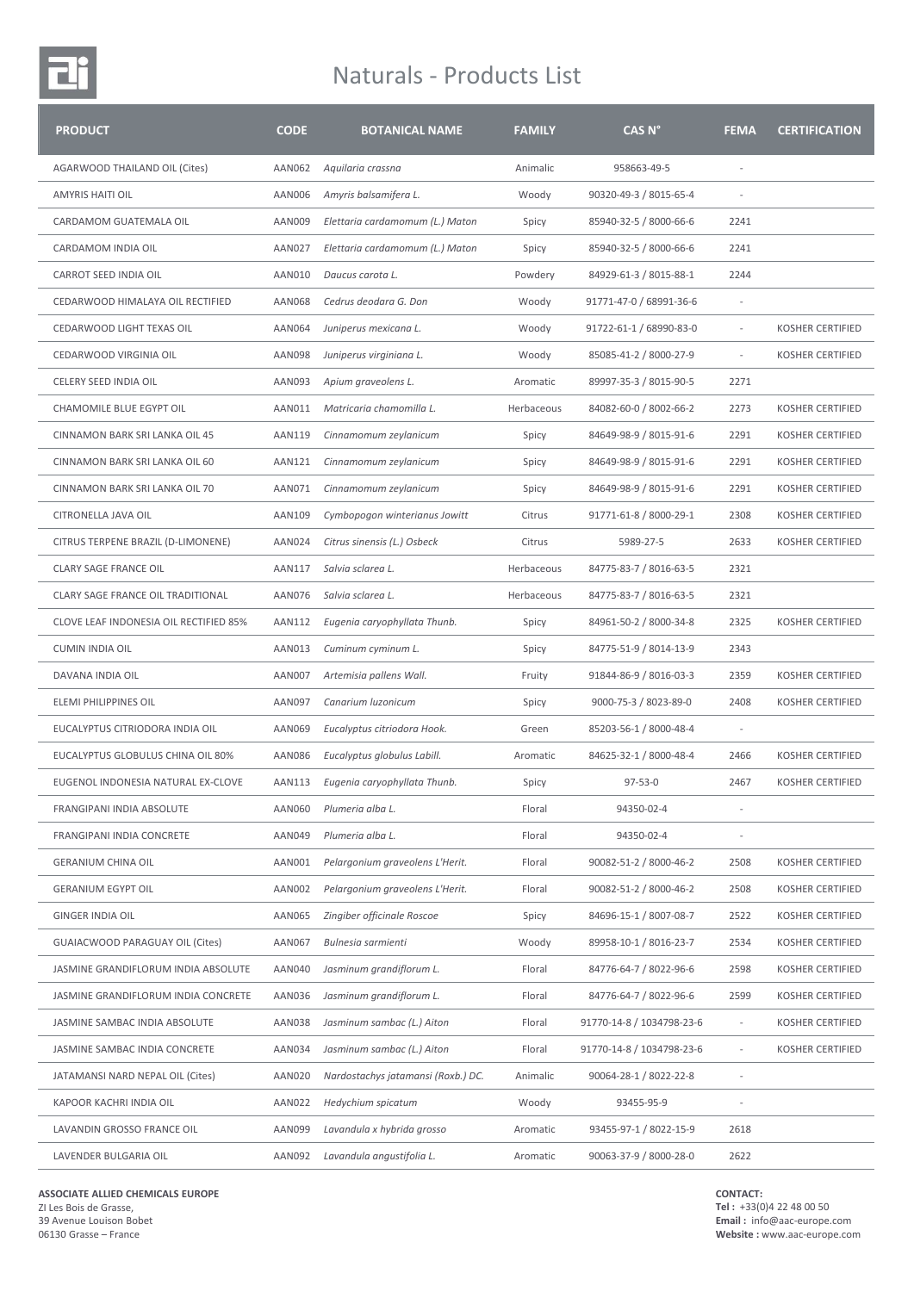## Naturals - Products List

| <b>PRODUCT</b>                         | <b>CODE</b>   | <b>BOTANICAL NAME</b>              | <b>FAMILY</b> | CAS N°                    | <b>FEMA</b>              | <b>CERTIFICATION</b>    |
|----------------------------------------|---------------|------------------------------------|---------------|---------------------------|--------------------------|-------------------------|
| AGARWOOD THAILAND OIL (Cites)          | AAN062        | Aquilaria crassna                  | Animalic      | 958663-49-5               |                          |                         |
| <b>AMYRIS HAITI OIL</b>                | AAN006        | Amyris balsamifera L.              | Woody         | 90320-49-3 / 8015-65-4    |                          |                         |
| CARDAMOM GUATEMALA OIL                 | AAN009        | Elettaria cardamomum (L.) Maton    | Spicy         | 85940-32-5 / 8000-66-6    | 2241                     |                         |
| CARDAMOM INDIA OIL                     | <b>AAN027</b> | Elettaria cardamomum (L.) Maton    | Spicy         | 85940-32-5 / 8000-66-6    | 2241                     |                         |
| CARROT SEED INDIA OIL                  | AAN010        | Daucus carota L.                   | Powdery       | 84929-61-3 / 8015-88-1    | 2244                     |                         |
| CEDARWOOD HIMALAYA OIL RECTIFIED       | AAN068        | Cedrus deodara G. Don              | Woody         | 91771-47-0 / 68991-36-6   | ٠                        |                         |
| CEDARWOOD LIGHT TEXAS OIL              | AAN064        | Juniperus mexicana L.              | Woody         | 91722-61-1 / 68990-83-0   | $\overline{\phantom{a}}$ | <b>KOSHER CERTIFIED</b> |
| CEDARWOOD VIRGINIA OIL                 | AAN098        | Juniperus virginiana L.            | Woody         | 85085-41-2 / 8000-27-9    | $\sim$                   | <b>KOSHER CERTIFIED</b> |
| CELERY SEED INDIA OIL                  | AAN093        | Apium graveolens L.                | Aromatic      | 89997-35-3 / 8015-90-5    | 2271                     |                         |
| CHAMOMILE BLUE EGYPT OIL               | AAN011        | Matricaria chamomilla L.           | Herbaceous    | 84082-60-0 / 8002-66-2    | 2273                     | <b>KOSHER CERTIFIED</b> |
| CINNAMON BARK SRI LANKA OIL 45         | AAN119        | Cinnamomum zeylanicum              | Spicy         | 84649-98-9 / 8015-91-6    | 2291                     | <b>KOSHER CERTIFIED</b> |
| CINNAMON BARK SRI LANKA OIL 60         | AAN121        | Cinnamomum zeylanicum              | Spicy         | 84649-98-9 / 8015-91-6    | 2291                     | <b>KOSHER CERTIFIED</b> |
| CINNAMON BARK SRI LANKA OIL 70         | AAN071        | Cinnamomum zeylanicum              | Spicy         | 84649-98-9 / 8015-91-6    | 2291                     | <b>KOSHER CERTIFIED</b> |
| CITRONELLA JAVA OIL                    | AAN109        | Cymbopogon winterianus Jowitt      | Citrus        | 91771-61-8 / 8000-29-1    | 2308                     | <b>KOSHER CERTIFIED</b> |
| CITRUS TERPENE BRAZIL (D-LIMONENE)     | <b>AAN024</b> | Citrus sinensis (L.) Osbeck        | Citrus        | 5989-27-5                 | 2633                     | <b>KOSHER CERTIFIED</b> |
| <b>CLARY SAGE FRANCE OIL</b>           | AAN117        | Salvia sclarea L.                  | Herbaceous    | 84775-83-7 / 8016-63-5    | 2321                     |                         |
| CLARY SAGE FRANCE OIL TRADITIONAL      | AAN076        | Salvia sclarea L.                  | Herbaceous    | 84775-83-7 / 8016-63-5    | 2321                     |                         |
| CLOVE LEAF INDONESIA OIL RECTIFIED 85% | AAN112        | Eugenia caryophyllata Thunb.       | Spicy         | 84961-50-2 / 8000-34-8    | 2325                     | <b>KOSHER CERTIFIED</b> |
| <b>CUMIN INDIA OIL</b>                 | AAN013        | Cuminum cyminum L.                 | Spicy         | 84775-51-9 / 8014-13-9    | 2343                     |                         |
| DAVANA INDIA OIL                       | <b>AAN007</b> | Artemisia pallens Wall.            | Fruity        | 91844-86-9 / 8016-03-3    | 2359                     | <b>KOSHER CERTIFIED</b> |
| ELEMI PHILIPPINES OIL                  | AAN097        | Canarium luzonicum                 | Spicy         | 9000-75-3 / 8023-89-0     | 2408                     | <b>KOSHER CERTIFIED</b> |
| EUCALYPTUS CITRIODORA INDIA OIL        | AAN069        | Eucalyptus citriodora Hook.        | Green         | 85203-56-1 / 8000-48-4    | $\sim$                   |                         |
| EUCALYPTUS GLOBULUS CHINA OIL 80%      | <b>AAN086</b> | Eucalyptus globulus Labill.        | Aromatic      | 84625-32-1 / 8000-48-4    | 2466                     | <b>KOSHER CERTIFIED</b> |
| EUGENOL INDONESIA NATURAL EX-CLOVE     | AAN113        | Eugenia caryophyllata Thunb.       | Spicy         | $97 - 53 - 0$             | 2467                     | <b>KOSHER CERTIFIED</b> |
| FRANGIPANI INDIA ABSOLUTE              | AAN060        | Plumeria alba L.                   | Floral        | 94350-02-4                |                          |                         |
| FRANGIPANI INDIA CONCRETE              | AAN049        | Plumeria alba L.                   | Floral        | 94350-02-4                |                          |                         |
| <b>GERANIUM CHINA OIL</b>              | AAN001        | Pelargonium graveolens L'Herit.    | Floral        | 90082-51-2 / 8000-46-2    | 2508                     | KOSHER CERTIFIED        |
| <b>GERANIUM EGYPT OIL</b>              | AAN002        | Pelargonium graveolens L'Herit.    | Floral        | 90082-51-2 / 8000-46-2    | 2508                     | <b>KOSHER CERTIFIED</b> |
| <b>GINGER INDIA OIL</b>                | AAN065        | Zingiber officinale Roscoe         | Spicy         | 84696-15-1 / 8007-08-7    | 2522                     | <b>KOSHER CERTIFIED</b> |
| <b>GUAIACWOOD PARAGUAY OIL (Cites)</b> | AAN067        | Bulnesia sarmienti                 | Woody         | 89958-10-1 / 8016-23-7    | 2534                     | KOSHER CERTIFIED        |
| JASMINE GRANDIFLORUM INDIA ABSOLUTE    | AAN040        | Jasminum grandiflorum L.           | Floral        | 84776-64-7 / 8022-96-6    | 2598                     | KOSHER CERTIFIED        |
| JASMINE GRANDIFLORUM INDIA CONCRETE    | AAN036        | Jasminum grandiflorum L.           | Floral        | 84776-64-7 / 8022-96-6    | 2599                     | KOSHER CERTIFIED        |
| JASMINE SAMBAC INDIA ABSOLUTE          | AAN038        | Jasminum sambac (L.) Aiton         | Floral        | 91770-14-8 / 1034798-23-6 |                          | KOSHER CERTIFIED        |
| JASMINE SAMBAC INDIA CONCRETE          | AAN034        | Jasminum sambac (L.) Aiton         | Floral        | 91770-14-8 / 1034798-23-6 |                          | <b>KOSHER CERTIFIED</b> |
| JATAMANSI NARD NEPAL OIL (Cites)       | AAN020        | Nardostachys jatamansi (Roxb.) DC. | Animalic      | 90064-28-1 / 8022-22-8    |                          |                         |
| KAPOOR KACHRI INDIA OIL                | <b>AAN022</b> | Hedychium spicatum                 | Woody         | 93455-95-9                |                          |                         |
| LAVANDIN GROSSO FRANCE OIL             | AAN099        | Lavandula x hybrida grosso         | Aromatic      | 93455-97-1 / 8022-15-9    | 2618                     |                         |
| LAVENDER BULGARIA OIL                  | AAN092        | Lavandula angustifolia L.          | Aromatic      | 90063-37-9 / 8000-28-0    | 2622                     |                         |

**ASSOCIATE ALLIED CHEMICALS EUROPE** ZI Les Bois de Grasse, 39 Avenue Louison Bobet

06130 Grasse – France

**CONTACT:**

**Tel :** +33(0)4 22 48 00 50 **Email :** info@aac-europe.com **Website :** www.aac-europe.com